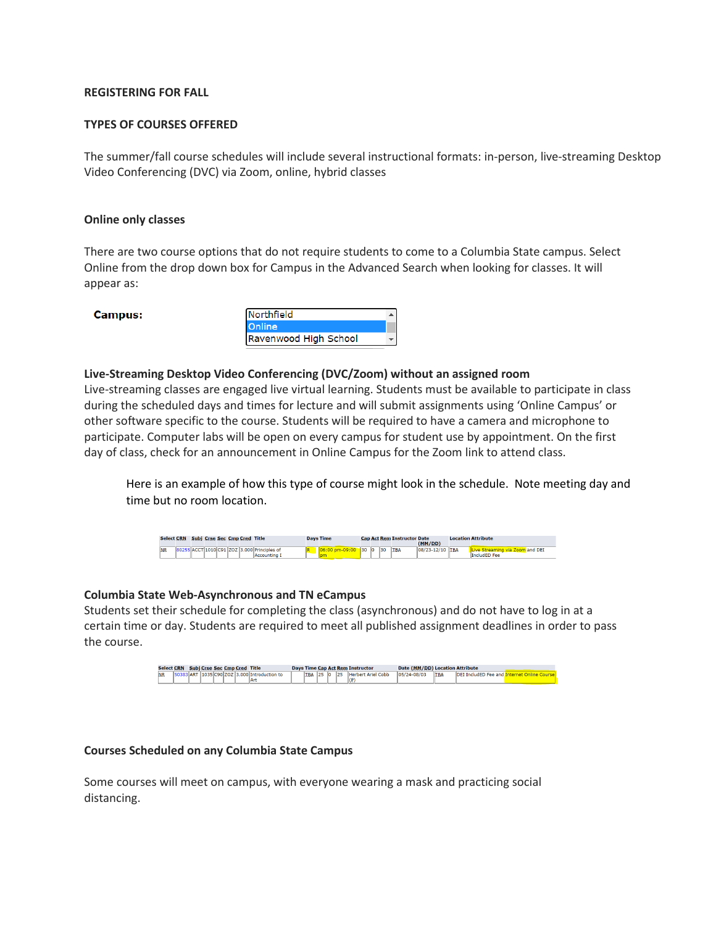# **REGISTERING FOR FALL**

## **TYPES OF COURSES OFFERED**

The summer/fall course schedules will include several instructional formats: in-person, live-streaming Desktop Video Conferencing (DVC) via Zoom, online, hybrid classes

### **Online only classes**

There are two course options that do not require students to come to a Columbia State campus. Select Online from the drop down box for Campus in the Advanced Search when looking for classes. It will appear as:

#### **Campus:**



### **Live-Streaming Desktop Video Conferencing (DVC/Zoom) without an assigned room**

Live-streaming classes are engaged live virtual learning. Students must be available to participate in class during the scheduled days and times for lecture and will submit assignments using 'Online Campus' or other software specific to the course. Students will be required to have a camera and microphone to participate. Computer labs will be open on every campus for student use by appointment. On the first day of class, check for an announcement in Online Campus for the Zoom link to attend class.

Here is an example of how this type of course might look in the schedule. Note meeting day and time but no room location.



### **Columbia State Web-Asynchronous and TN eCampus**

Students set their schedule for completing the class (asynchronous) and do not have to log in at a certain time or day. Students are required to meet all published assignment deadlines in order to pass the course.

|           | <b>Select CRN</b> |           | Subj Crse Sec Cmp Cred Title |       |  |      |  |            |      |          | Days Time Cap Act Rem Instructor         | Date (MM/DD) Location Attribute |            |                                |  |
|-----------|-------------------|-----------|------------------------------|-------|--|------|--|------------|------|----------|------------------------------------------|---------------------------------|------------|--------------------------------|--|
| <b>NR</b> |                   | <b>ND</b> | 1035                         | room. |  | -lAn |  | <b>TRA</b> | lor. | los<br>. | <b>Ariel Cobb</b><br><b>Herbert</b><br>u | 05/24-08/05                     | <b>TBA</b> | InFI<br>a IncludEP.<br>Eag and |  |

### **Courses Scheduled on any Columbia State Campus**

Some courses will meet on campus, with everyone wearing a mask and practicing social distancing.